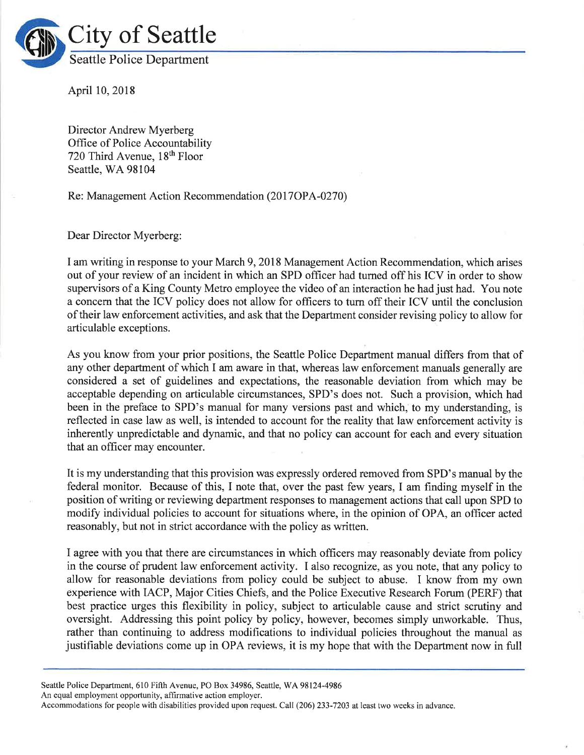

April 10,2018

Director Andrew Myerberg Office of Police Accountability 720 Third Avenue, 18<sup>th</sup> Floor Seattle, WA 98104

Re: Management Action Recommendation (2017OPA-0270)

Dear Director Myerberg:

I am writing in response to your March 9,2018 Management Action Recommendation, which arises out of your review of an incident in which an SPD officer had turned off his ICV in order to show supervisors of a King County Metro employee the video of an interaction he had just had. You note a concern that the ICV policy does not allow for officers to turn off their ICV until the conclusion of their law enforcement activities, and ask that the Department consider revising policy to allow for articulable exceptions.

As you know from your prior positions, the Seattle Police Department manual differs from that of any other department of which I am aware in that, whereas law enforcement manuals generally are considered a set of guidelines and expectations, the reasonable deviation from which may be acceptable depending on articulable circumstances, SPD's does not. Such a provision, which had been in the preface to SPD's manual for many versions past and which, to my understanding, is reflected in case law as well, is intended to account for the reality that law enforcement activity is inherently unpredictable and dynamic, and that no policy can account for each and every situation that an officer may encounter.

It is my understanding that this provision was expressly ordered removed from SPD's manual by the federal monitor. Because of this, I note that, over the past few years, I am finding myself in the position of writing or reviewing department responses to management actions that call upon SPD to modify individual policies to account for situations where, in the opinion of OPA, an officer acted reasonably, but not in strict accordance with the policy as written.

I agree with you that there are circumstances in which officers may reasonably deviate from policy in the course of prudent law enforcement activity. I also recognize, as you note, that any policy to allow for reasonable deviations from policy could be subject to abuse. I know from my own experience with IACP, Major Cities Chiefs, and the Police Executive Research Forum (PERF) that best practice urges this flexibility in policy, subject to articulable cause and strict scrutiny and oversight. Addressing this point policy by policy, however, becomes simply unworkable. Thus, rather than continuing to address modifications to individual policies throughout the manual as justifiable deviations come up in OPA reviews, it is my hope that with the Department now in full

Seattle Police Department, 610 Fifth Avenue, PO Box 34986, Seattle, WA 98124-4986

An equal employment opportunity, affirmative action employer.

Accommodations for people with disabilities provided upon request. Call (206) 233-7203 at least two weeks in advance.